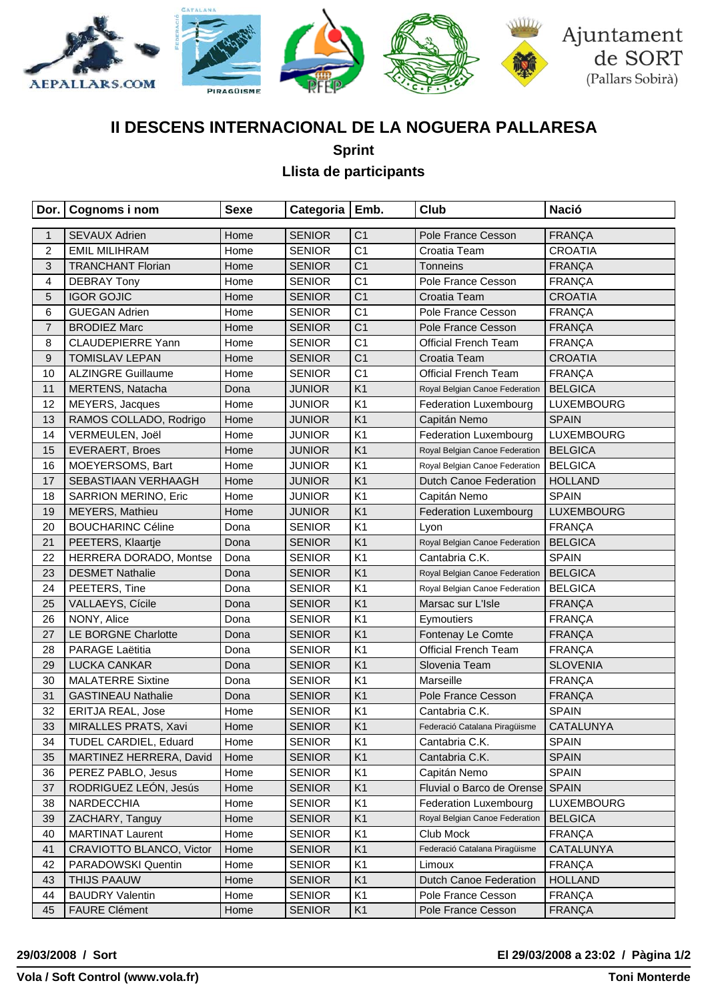

# **II DESCENS INTERNACIONAL DE LA NOGUERA PALLARESA**

**Sprint**

### **Llista de participants**

|                | Dor.   Cognoms i nom      | <b>Sexe</b> | Categoria   Emb. |                | <b>Club</b>                     | <b>Nació</b>      |
|----------------|---------------------------|-------------|------------------|----------------|---------------------------------|-------------------|
| $\mathbf{1}$   | <b>SEVAUX Adrien</b>      | Home        | <b>SENIOR</b>    | C <sub>1</sub> | Pole France Cesson              | <b>FRANÇA</b>     |
| $\overline{c}$ | <b>EMIL MILIHRAM</b>      | Home        | <b>SENIOR</b>    | C <sub>1</sub> | Croatia Team                    | <b>CROATIA</b>    |
| $\mathbf{3}$   | <b>TRANCHANT Florian</b>  | Home        | <b>SENIOR</b>    | C <sub>1</sub> | Tonneins                        | <b>FRANÇA</b>     |
| 4              | <b>DEBRAY Tony</b>        | Home        | <b>SENIOR</b>    | C <sub>1</sub> | Pole France Cesson              | <b>FRANÇA</b>     |
| 5              | <b>IGOR GOJIC</b>         | Home        | <b>SENIOR</b>    | C <sub>1</sub> | Croatia Team                    | <b>CROATIA</b>    |
| 6              | <b>GUEGAN Adrien</b>      | Home        | <b>SENIOR</b>    | C <sub>1</sub> | Pole France Cesson              | <b>FRANÇA</b>     |
| $\overline{7}$ | <b>BRODIEZ Marc</b>       | Home        | <b>SENIOR</b>    | C <sub>1</sub> | Pole France Cesson              | <b>FRANÇA</b>     |
| 8              | <b>CLAUDEPIERRE Yann</b>  | Home        | <b>SENIOR</b>    | C <sub>1</sub> | <b>Official French Team</b>     | <b>FRANÇA</b>     |
| 9              | <b>TOMISLAV LEPAN</b>     | Home        | <b>SENIOR</b>    | C <sub>1</sub> | Croatia Team                    | <b>CROATIA</b>    |
| 10             | <b>ALZINGRE Guillaume</b> | Home        | <b>SENIOR</b>    | C <sub>1</sub> | <b>Official French Team</b>     | <b>FRANÇA</b>     |
| 11             | MERTENS, Natacha          | Dona        | <b>JUNIOR</b>    | K <sub>1</sub> | Royal Belgian Canoe Federation  | <b>BELGICA</b>    |
| 12             | MEYERS, Jacques           | Home        | <b>JUNIOR</b>    | K <sub>1</sub> | Federation Luxembourg           | <b>LUXEMBOURG</b> |
| 13             | RAMOS COLLADO, Rodrigo    | Home        | <b>JUNIOR</b>    | K <sub>1</sub> | Capitán Nemo                    | <b>SPAIN</b>      |
| 14             | VERMEULEN, Joël           | Home        | <b>JUNIOR</b>    | K <sub>1</sub> | <b>Federation Luxembourg</b>    | <b>LUXEMBOURG</b> |
| 15             | <b>EVERAERT, Broes</b>    | Home        | <b>JUNIOR</b>    | K <sub>1</sub> | Royal Belgian Canoe Federation  | <b>BELGICA</b>    |
| 16             | MOEYERSOMS, Bart          | Home        | <b>JUNIOR</b>    | K <sub>1</sub> | Royal Belgian Canoe Federation  | <b>BELGICA</b>    |
| 17             | SEBASTIAAN VERHAAGH       | Home        | <b>JUNIOR</b>    | K <sub>1</sub> | <b>Dutch Canoe Federation</b>   | <b>HOLLAND</b>    |
| 18             | SARRION MERINO, Eric      | Home        | <b>JUNIOR</b>    | K <sub>1</sub> | Capitán Nemo                    | <b>SPAIN</b>      |
| 19             | MEYERS, Mathieu           | Home        | <b>JUNIOR</b>    | K <sub>1</sub> | <b>Federation Luxembourg</b>    | <b>LUXEMBOURG</b> |
| 20             | <b>BOUCHARINC Céline</b>  | Dona        | <b>SENIOR</b>    | K <sub>1</sub> | Lyon                            | <b>FRANÇA</b>     |
| 21             | PEETERS, Klaartje         | Dona        | <b>SENIOR</b>    | K <sub>1</sub> | Royal Belgian Canoe Federation  | <b>BELGICA</b>    |
| 22             | HERRERA DORADO, Montse    | Dona        | <b>SENIOR</b>    | K <sub>1</sub> | Cantabria C.K.                  | <b>SPAIN</b>      |
| 23             | <b>DESMET Nathalie</b>    | Dona        | <b>SENIOR</b>    | K <sub>1</sub> | Royal Belgian Canoe Federation  | <b>BELGICA</b>    |
| 24             | PEETERS, Tine             | Dona        | <b>SENIOR</b>    | K <sub>1</sub> | Royal Belgian Canoe Federation  | <b>BELGICA</b>    |
| 25             | VALLAEYS, Cícile          | Dona        | <b>SENIOR</b>    | K <sub>1</sub> | Marsac sur L'Isle               | FRANÇA            |
| 26             | NONY, Alice               | Dona        | <b>SENIOR</b>    | K <sub>1</sub> | Eymoutiers                      | <b>FRANÇA</b>     |
| 27             | LE BORGNE Charlotte       | Dona        | <b>SENIOR</b>    | K <sub>1</sub> | Fontenay Le Comte               | <b>FRANÇA</b>     |
| 28             | PARAGE Laëtitia           | Dona        | <b>SENIOR</b>    | K <sub>1</sub> | <b>Official French Team</b>     | FRANÇA            |
| 29             | LUCKA CANKAR              | Dona        | <b>SENIOR</b>    | K <sub>1</sub> | Slovenia Team                   | <b>SLOVENIA</b>   |
| 30             | <b>MALATERRE Sixtine</b>  | Dona        | <b>SENIOR</b>    | K <sub>1</sub> | Marseille                       | <b>FRANÇA</b>     |
| 31             | <b>GASTINEAU Nathalie</b> | Dona        | <b>SENIOR</b>    | K <sub>1</sub> | Pole France Cesson              | <b>FRANÇA</b>     |
| 32             | ERITJA REAL, Jose         | Home        | <b>SENIOR</b>    | K <sub>1</sub> | Cantabria C.K.                  | <b>SPAIN</b>      |
| 33             | MIRALLES PRATS, Xavi      | Home        | <b>SENIOR</b>    | K <sub>1</sub> | Federació Catalana Piragüisme   | CATALUNYA         |
| 34             | TUDEL CARDIEL, Eduard     | Home        | <b>SENIOR</b>    | K <sub>1</sub> | Cantabria C.K.                  | <b>SPAIN</b>      |
| 35             | MARTINEZ HERRERA, David   | Home        | <b>SENIOR</b>    | K1             | Cantabria C.K.                  | <b>SPAIN</b>      |
| 36             | PEREZ PABLO, Jesus        | Home        | <b>SENIOR</b>    | K <sub>1</sub> | Capitán Nemo                    | <b>SPAIN</b>      |
| 37             | RODRIGUEZ LEÓN, Jesús     | Home        | <b>SENIOR</b>    | K <sub>1</sub> | Fluvial o Barco de Orense SPAIN |                   |
| 38             | NARDECCHIA                | Home        | <b>SENIOR</b>    | K <sub>1</sub> | <b>Federation Luxembourg</b>    | LUXEMBOURG        |
| 39             | ZACHARY, Tanguy           | Home        | <b>SENIOR</b>    | K <sub>1</sub> | Royal Belgian Canoe Federation  | <b>BELGICA</b>    |
| 40             | <b>MARTINAT Laurent</b>   | Home        | <b>SENIOR</b>    | K <sub>1</sub> | Club Mock                       | <b>FRANÇA</b>     |
| 41             | CRAVIOTTO BLANCO, Victor  | Home        | <b>SENIOR</b>    | K <sub>1</sub> | Federació Catalana Piragüisme   | CATALUNYA         |
| 42             | PARADOWSKI Quentin        | Home        | <b>SENIOR</b>    | K1             | Limoux                          | <b>FRANÇA</b>     |
| 43             | THIJS PAAUW               | Home        | <b>SENIOR</b>    | K <sub>1</sub> | <b>Dutch Canoe Federation</b>   | <b>HOLLAND</b>    |
| 44             | <b>BAUDRY Valentin</b>    | Home        | <b>SENIOR</b>    | K <sub>1</sub> | Pole France Cesson              | FRANÇA            |
| 45             | <b>FAURE Clément</b>      | Home        | <b>SENIOR</b>    | K <sub>1</sub> | Pole France Cesson              | <b>FRANÇA</b>     |

#### **29/03/2008 / Sort El 29/03/2008 a 23:02 / Pàgina 1/2**